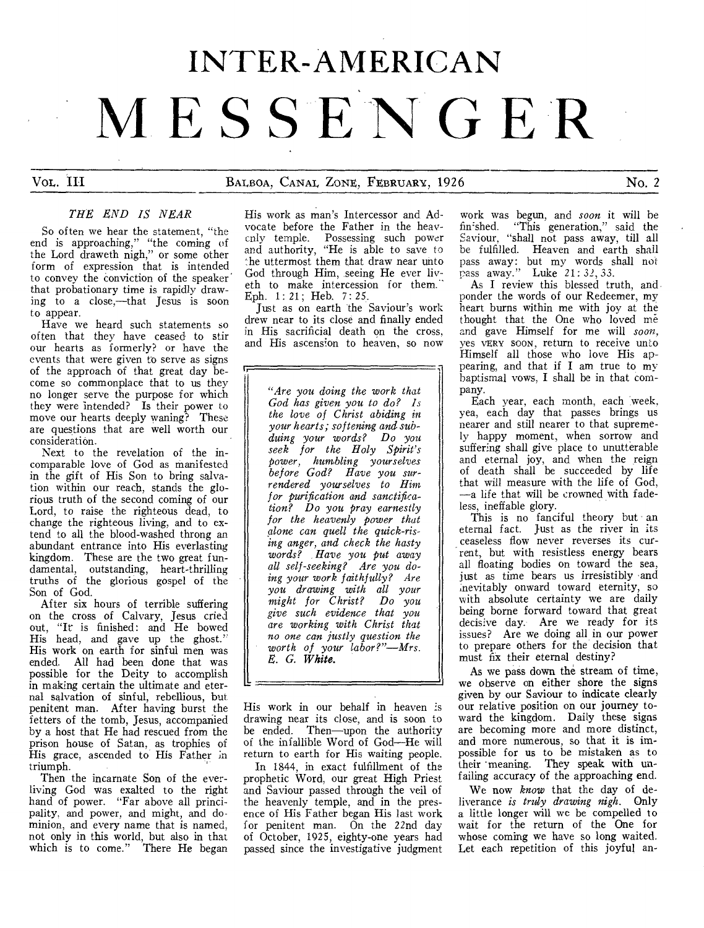# INTER-AMERICAN **MESSEN GER**

### VOL. III BALBOA, CANAL ZONE, FEBRUARY, 1926 No. 2

### *THE END IS NEAR*

So often we hear the statement, "the end is approaching," "the coming of the Lord draweth nigh," or some other form of expression that is intended to convey the conviction of the speaker that probationary time is rapidly drawing to a close,—that Jesus is soon to appear.

Have we heard such statements so often that they have ceased to stir our hearts as formerly? or have the events that were given to serve as signs of the approach of that great day become so commonplace that to us they no longer serve the purpose for which they were intended? Is their power to move our hearts deeply waning? These are questions that are well worth our consideration.

Next to the revelation of the incomparable love of God as manifested in the gift of His Son to bring salvation within our reach, stands the glorious truth of the second coming of our Lord, to raise the righteous dead, to change the righteous living, and to extend to all the blood-washed throng an abundant entrance into His everlasting kingdom. These are the two great fundamental, outstanding, heart-thrilling truths of the glorious gospel of the Son of God.

After six hours of terrible suffering on the cross of Calvary, Jesus cried out, "It is finished: and He bowed His head, and gave up the ghost." His work on earth for sinful men was ended. All had been done that was possible for the Deity to accomplish in making certain the ultimate and eternal salvation of sinful, rebellious, but penitent man. After having burst the fetters of the tomb, Jesus, accompanied by a host that He had rescued from the prison house of Satan, as trophies of His grace, ascended to His Father in triumph.

Then the incarnate Son of the everliving God was exalted to the right hand of power. "Far above all principality, and power, and might, and dominion, and every name that is named, not only in this world, but also in that which is to come." There He began

His work as man's Intercessor and Advocate before the Father in the heavenly temple. Possessing such power and authority, "He is able to save to :he uttermost them that draw near unto God through Him, seeing He ever liveth to make intercession for them. Eph. 1:21; Heb. 7: 25.

Just as on earth the Saviour's work drew near to its close and finally ended in His sacrificial death on the cross, and His ascension to heaven, so now

*"Are you doing the work that God has given you to do? Is the love of Christ abiding in your hearts; softening and subduing your words? Do you seek for the Holy Spirit's power, humbling yourselves before God? Have you surrendered yourselves to Him for purification and sanctification? Do you pray earnestly for the heavenly power that alone can quell the quick-rising anger, and check the hasty words? Have you put away all self-seeking? Are you doing your work faithfully? Are you drawing with all your might for Christ? Do you give such evidence that you are working with Christ that no one can justly question the worth of your labor?"—Mrs. S. G. White.* 

His work in our behalf in heaven is drawing near its close, and is soon to be ended. Then—upon the authority of the infallible Word of God—He will return to earth for His waiting people.

In 1844, in exact fulfillment of the prophetic Word, our great High Priest and Saviour passed through the veil of the heavenly temple, and in the presence of His Father began His last work for penitent man. On the 22nd day of October, 1925, eighty-one years had passed since the investigative judgment

work was begun, and *soon* it will be finished. "This generation," said the Saviour, "shall not pass away, till all be fulfilled. Heaven and earth shall pass away: but my words shall not pass away." Luke 21: *32,* 33.

As I review this blessed truth, and ponder the words of our Redeemer, my heart burns within me with joy at the thought that the One who loved me and gave Himself for me will *soon,*  yes VERY SOON, return to receive unto Himself all those who love His appearing, and that if I am true to my baptismal vows, I shall be in that company.

Each year, each month, each week, yea, each day that passes brings us nearer and still nearer to that supremely happy moment, when sorrow and suffering shall give place to unutterable and eternal joy, and when the reign of death shall be succeeded by life that will measure with the life of God, —a life that will be crowned with fadeless, ineffable glory.

This is no fanciful theory but an eternal fact. Just as the river in its ceaseless flow never reverses its current, but with resistless energy bears all floating bodies on toward the sea, just as time bears us irresistibly and inevitably onward toward eternity, so with absolute certainty we are daily being borne forward toward that great decisive day. Are we ready for its issues? Are we doing all in our power to prepare others for the decision that must fix their eternal destiny?

As we pass down the stream of time, we observe on either shore the signs given by our Saviour to indicate clearly our relative position on our journey toward the kingdom. Daily these signs are becoming more and more distinct, and more numerous, so that it is impossible for us to be mistaken as to their 'meaning. They speak with unfailing accuracy of the approaching end.

We now *know* that the day of deliverance *is truly drawing nigh.* Only a little longer will we be compelled to wait for the return of the One for whose coming we have so long waited. Let each repetition of this joyful an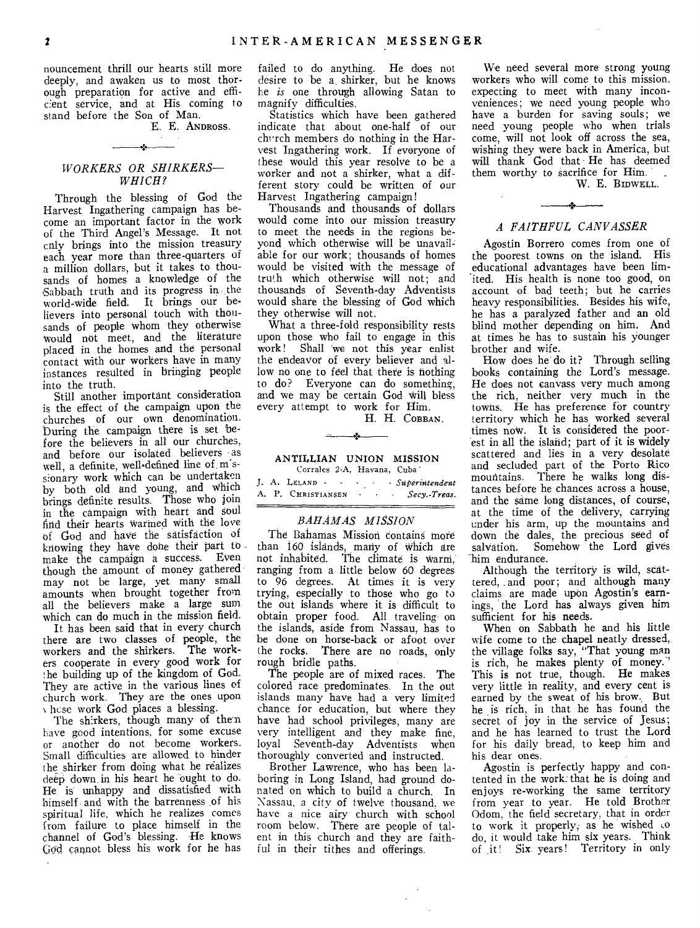nouncement thrill our hearts still more deeply, and awaken us to most thorough preparation for active and efficient service, and at His coming to stand before the Son of Man.

E. E. ANDROSS.

### *WORKERS OR SHIRKERS— WHICH?*

Through the blessing of God the Harvest Ingathering campaign has become an important factor in the work of the Third Angel's Message. It not cnly brings into the mission treasury each year more than three-quarters of a million dollars, but it takes to thousands of homes a knowledge of the Sabbath truth and its progress in the world=wide field. It brings our believers into personal touch with thousands of people whom they otherwise would not meet, and the literature placed in the homes and the personal contact with our workers have in many instances resulted in bringing people into the truth.

Still another important consideration is the effect of the campaign upon the churches of our own denomination. During the campaign there is set before the believers in all our churches, and before our isolated believers as well, a definite, well-defined line of m'ssionary work which can be undertaken by both old and young, and Which brings definite results. Those who join in the campaign with heart and soul find their hearts warmed With the love of God and have the satisfaction of knowing they have done their part to make the campaign a success. Even though the amount of money gathered may not be large, yet many small amounts when brought together from all the believers make a large sum which can do much in the mission field.

It has been said that in every church there are two classes of people, the workers and the shirkers. The workers cooperate in every good work for he building up of the kingdom of God. They are active in the various lines of church work. They are the ones upon hcse work God places a blessing.

The sh:rkers, though many of then have good intentions, for some excuse or another do not become workers. Small difficulties are allowed to hinder the shirker from doing what he realizes deep down in his heart he ought to do. He is unhappy and dissatisfied with himself and with the barrenness of his spiritual life, which he realizes comes from failure to place himself in the channel of God's blessing. He knows (god cannot bless his work for he has

failed to do anything. He does not desire to be a. shirker, but he knows he *is* one through allowing Satan to magnify difficulties.

Statistics which have been gathered indicate that about one-half of our chrrch members do nothing in the Harvest Ingathering work. If everyone of these would this year resolve to be a worker and not a shirker, what a different story could be written of our Harvest Ingathering campaign!

Thousands and thousands of dollars would come into our mission treasury to meet the needs in the regions beyond which otherwise will be unavailable for our work; thousands of homes would be visited with the message of truth which otherwise will not; and thousands of Seventh-day Adventists would share the blessing of God which they otherwise will not.

What a three-fold responsibility rests upon those who fail to engage in this work! Shall we not this year enlist the endeavor of every believer and allow no one to feel that there is nothing to do? Everyone can do something, and we may be certain God will bless every attempt to work for Him.

H. H. COBBAN.

### ANTILLIAN UNION MISSION Corrales 2-A, Havana, Cuba'

ä.

|  | J. A. Leland -     |  | - Superintendent |
|--|--------------------|--|------------------|
|  | A. P. CHRISTIANSEN |  | Secy. Treas.     |

### *BAHAMAS MISSION*

The Bahamas Mission contains more than 160 islands, many of which are not inhabited. The climate is warn, ranging from a little below 60 degrees to 96 degrees. At times it is very trying, especially to those who go to the out islands where it is difficult to obtain proper food. All traveling on the islands, aside from Nassau, has to be done on horse-back or afoot over the rocks. There are no roads, only rough bridle paths.

The people are of mixed races. The colored race predominates. In the out islands many have had a very limited chance for education, but where they have had school privileges, many are very intelligent and they make fine, loyal Seventh-day Adventists when thoroughly converted and instructed.

Brother Lawrence, who has been laboring in Long Island, had ground donated on which to build a church. In Nassau, a city of twelve thousand, we have a nice airy church with school room below. There are people of talent in this church and they are faithful in their tithes and offerings.

We need several more strong young workers who will come to this mission, expecting to meet with many inconveniences; we need young people who have a burden for saving souls; we need young people who when trials come, will not look off across the sea, wishing they were back in America, but will thank God that He has deemed them worthy to sacrifice for Him.

W. E. BIDWELL.

### ż. *A FAITHFUL CANVASSER*

Agostin Borrero comes from one of the poorest towns on the island. His educational advantages have been lim- 'ited. His health is none too good, on account of bad teeth; but he carries heavy responsibilities. Besides his wife, he has a paralyzed father and an old blind mother depending on him. And at times he has to sustain his younger brother and wife.

How does he do it? Through selling books containing the Lord's message. He does not canvass very much among the rich, neither very much in the towns. He has preference for country territory which he has worked several times now. It is considered the poorest in all the island; part of it is widely scattered and lies in a very desolate and secluded part of the Porto Rico mountains. There he walks long distances before he chances across a house, and the same long distances, of course, at the time of the delivery, carrying under his arm, up the mountains and down the dales, the precious seed of salvation. Somehow the Lord gives Somehow the Lord gives him endurance.

Although the territory is wild, scattered, . and poor; and although many claims are made upon Agostin's earnings, the Lord has always given him sufficient for his needs.

When on Sabbath he and his little wife come to the chapel neatly dressed, the village folks say, "That young man is rich, he makes plenty of money.' This is not true, though. He makes very little in reality, and every cent is earned by the sweat of his brow.. But he is rich, in that he has found the secret of joy in the service of Jesus; and he has learned to trust the Lord for his daily bread, to keep him and his dear ones.

Agostin is perfectly happy and contented in the work:that he is doing and enjoys re-working the same territory from year to year. He told Brother Odom, the field secretary, that in order to work it properly, as he wished  $\infty$ do, it would take him six years. Think of \_it! Six. years! Territory in only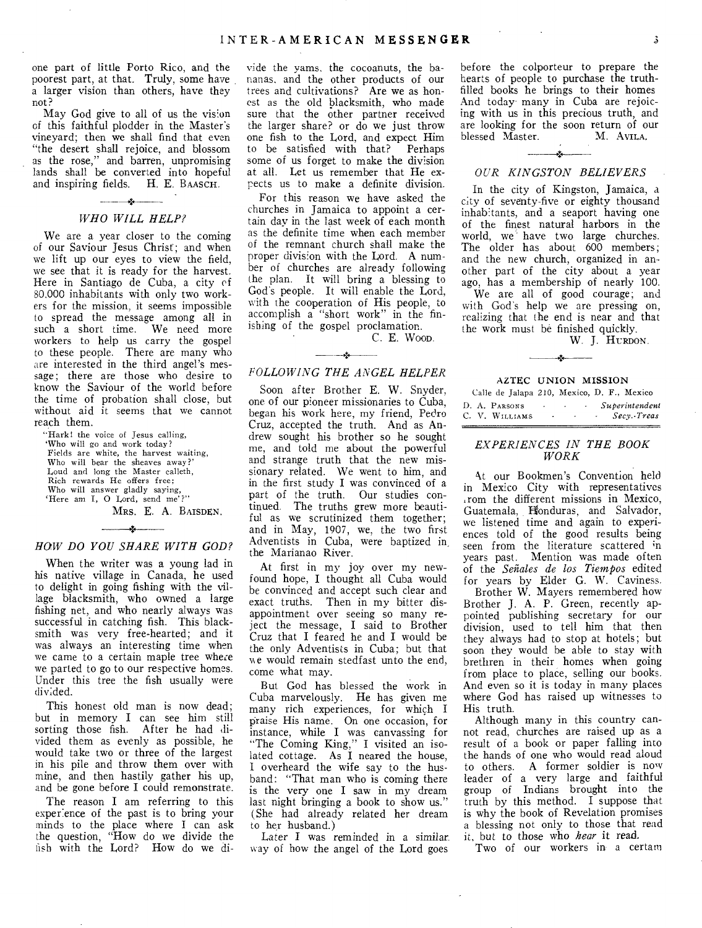one part of little Porto Rico, and the poorest part, at that. Truly, some have a larger vision than others, have they not?

May God give to all of us the vision of this faithful plodder in the Master's vineyard; then we shall find that even "the desert shall rejoice, and blossom as the rose," and barren, unpromising lands shall be converted into hopeful and inspiring fields. H. E. BAASCH.

### $\mathcal{L}$  . The contract of  $\mathcal{L}$ *WHO WILL HELP?*

We are a year closer to the coming of our Saviour Jesus Christ; and when we lift up our eyes to view the field, we see that it is ready for the harvest. Here in Santiago de Cuba, a city of 80,000 inhabitants with only two workers for the mission, it seems impossible to spread the message among all in such a short time. We need more workers to help us carry the gospel to these people. There are many who are interested in the third angel's message; there are those who desire to know the Saviour of the world before the time of probation shall close, but without aid it seems that we cannot reach them.

"Hark! the voice of Jesus calling, `Who will go and work today? Fields are white, the harvest waiting, Who will bear the sheaves away?' Loud and long the Master calleth, Rich rewards He offers free; Who will answer gladly saying, `Here am I, 0 Lord, send me'?"

MRS. E. A. BAISDEN.

### $\rightarrow$ *HOW DO YOU SHARE WITH GOD?*

When the writer was a young lad in his native village in Canada, he used to delight in going fishing with the village blacksmith, who owned a large fishing net, and who nearly always was successful in catching fish. This blacksmith was very free-hearted; and it was always an interesting time when we came to a certain maple tree where we parted to go to our respective homes. Under this tree the fish usually were divided.

This honest old man is now dead; but in memory I can see him still sorting those fish. After he had divided them as evenly as possible, he would take two or three of the largest in his pile and throw them over with mine, and then hastily gather his up, and be gone before I could remonstrate.

The reason I am referring to this experience of the past is to bring your minds to the place where I can ask the question, "How do we *divide* the fish with the Lord? How do we divide the yams, the cocoanuts, the bananas, and the other products of our trees and cultivations? Are we as honest as the old blacksmith, who made sure that the other partner received the larger share? or do we just throw one fish to the Lord, and expect Him to be satisfied with that? Perhaps some of us forget to make the division at all. Let us remember that He expects us to make a definite division.

For this reason we have asked the churches in Jamaica to appoint a certain day in the last week of each month as the definite time when each member of the remnant church shall make the proper division with the Lord. A number of churches are already following the plan. It will bring a blessing to God's people. It will enable the Lord, with the cooperation of His people, to accomplish a "short work" in the finishing of the gospel proclamation.

C. E. WOOD.

### *FOLLOWING THE ANGEL HELPER*

Soon after Brother E. W. Snyder, one of our pioneer missionaries to Cuba, began his work here, my friend, Pedro Cruz, accepted the truth. And as Andrew sought his brother so he sought me, and told me about the powerful and strange truth that the new missionary related. We went to him, and in the first study I was convinced of a part of the truth. Our studies continued. The truths grew more beautiful as we scrutinized them together; and in May, 1907, we, the two first Adventists in Cuba, were baptized in, the Marianao River.

At first in my joy over my newfound hope, I thought all Cuba would be convinced and accept such clear and exact truths. Then in my bitter disappointment over seeing so many reject the message, I said to Brother Cruz that I feared he and I would be the only Adventists in Cuba; but that we would remain stedfast unto the end, come what may.

But God has blessed the work in Cuba marvelously. He has given me many rich experiences, for which I praise His name. On one occasion, for instance, while I was canvassing for "The Coming King," I visited an isolated cottage. As I neared the house, I overheard the wife say to the husband: "That man who is coming there is the very one I saw in my dream last night bringing a book to show us." (She had already related her dream to her husband.)

Later I was reminded in a similar. way of how the angel of the Lord goes

before the colporteur to prepare the hearts of people to purchase the truthfilled books he brings to their homes And today many in Cuba are rejoicing with us in this precious truth, and are looking for the soon return of our<br>blessed Master. M. AVILA. blessed Master.

### *OUR KINGSTON BELIEVERS*

In the city of Kingston, Jamaica, a city of seventy-five or eighty thousand inhabitants, and a seaport having one of the finest natural harbors in the world, we have two large churches. The older has about 600 members; and the new church, organized in another part of the city about a year ago, has a membership of nearly 100.

We are all of good courage; and with God's help we are pressing on, realizing that the end is near and that the work must be finished quickly.

W. J. HURDON.

### AZTEC UNION MISSION

|  |                |        |        |                          |  | Calle de Jalapa 210, Mexico, D. F., Mexico |
|--|----------------|--------|--------|--------------------------|--|--------------------------------------------|
|  | D. A. PARSONS  | $\sim$ | $\sim$ | <b>Contract Contract</b> |  | Superintendent                             |
|  | C. V. WILLIAMS |        |        | $\sim$                   |  | Secv. Treas                                |

### *EXPERIENCES IN THE BOOK WORK*

At our Bookmen's Convention held in Mexico City with representatives .rom the different missions in Mexico, Guatemala, Honduras, and Salvador, we listened time and again to experiences told of the good results being seen from the literature scattered in years past. Mention was made often of the *Seitales de los Tiempos* edited for years by Elder G. W. Caviness.

Brother W. Mayers remembered how Brother J. A. P. Green, recently appointed publishing secretary for our division, used to tell him that then they always had to stop at hotels; but soon they would be able to stay with brethren in their homes when going from place to place, selling our books. And even so it is today in many places where God has raised up witnesses to His truth.

Although many in this country cannot read, churches are raised up as a result of a book or paper falling into the hands of one who would read aloud to others. A former soldier is now leader of a very large and faithful group of Indians brought into the truth by this method. I suppose that is why the book of Revelation promises a blessing not only to those that read it, but to those who *hear* it read.

Two of our workers in a certam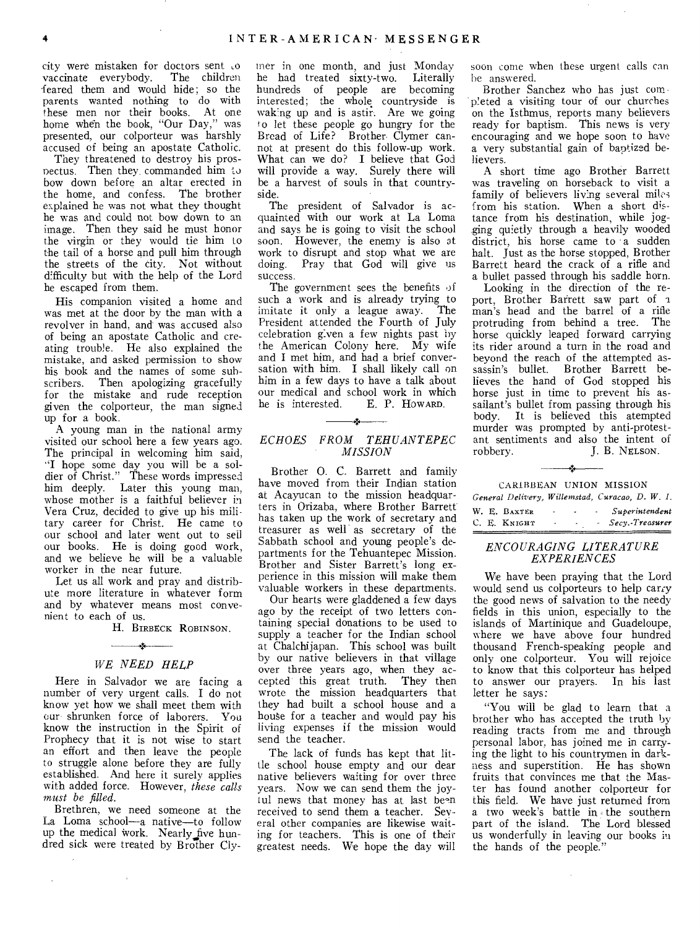city were mistaken for doctors sent to<br>vaccinate everybody. The children vaccinate everybody. feared them and would hide; so the parents wanted nothing to do with these men nor their books. At one home when the book, "Our Day," was presented, our colporteur was harshly accused of being an apostate Catholic.

They threatened to destroy his prospectus. Then they commanded him to bow down before an altar erected in the home, and confess. The brother explained he was not what they thought he was and could not bow down to an image. Then they said he must honor the virgin or they would tie him to the tail of a horse and pull him through the streets of the city. Not without difficulty but with the help of the Lord he escaped from them.

His companion visited a home and was met at the door by the man with a revolver in hand, and was accused also of being an apostate Catholic and creating trouble. He also explained the mistake, and asked permission to show his book and the names of some subscribers. Then apologizing gracefully for the mistake and rude reception given the colporteur, the man signed up for a book.

A young man in the national army visited our school here a few years ago. The principal in welcoming him said, "I hope some day you will be a soldier of Christ." These words impressed him deeply. Later this young man, whose mother is a faithful believer in Vera Cruz, decided to give up his military career for Christ. He came to our school and later went out to sell our books. He is doing good work, and we believe he will be a valuable worker in the near future.

Let us all work and pray and distribute more literature in whatever form and by whatever means most convenient to each of us.

H. BIRBECK ROBINSON.

### $\mathbf{r}$ *WE NEED HELP*

Here in Salvador we are facing a number of very urgent calls. I do not know yet how we shall meet them with our shrunken force of laborers. You know the instruction in the Spirit of Prophecy that it is not wise to start an effort and then leave the people to struggle alone before they are fully established. And here it surely applies with added force. However, *these calls must be filled.* 

Brethren, we need someone at the La Loma school—a native—to follow up the medical work. Nearly five hundred sick were treated by Brother Cly-

 $\mathbf{r}$ 

 $\bar{\mathcal{A}}$ 

iner in one month, and just Monday<br>he had treated sixty-two. Literally he had treated sixty-two. hundreds of people are becoming interested; the whole countryside is wakng up and is astir. Are we going o let these people go hungry for the Bread of Life? Brother- Clymer cannot at present do this follow-up work. What can we do? I believe that God will provide a way. Surely there will be a harvest of souls in that countryside.

The president of Salvador is acquainted with our work at La Loma and says he is going to visit the school soon. However, the enemy is also at work to disrupt and stop what we are doing. Pray that God will give us success.

The government sees the benefits of such a work and is already trying to<br>imitate it only a league away. The imitate it only a league away. President attended the Fourth of July celebration given a few nights past by the American Colony here. My wife and I met him, and had a brief conversation with him. I shall likely call on him in a few days to have a talk about  $\frac{1}{2}$  our medical and school work in which<br>he is interested. E. P. How ARD. he is interested. E. P. HOWARD.

### *ECHOES FROM TEHUANTEPEC MISSION*

Brother 0. C. Barrett and family have moved from their Indian station at Acayucan to the mission headquarters in Orizaba, where Brother Barrett has taken up the work of secretary and treasurer as well as secretary of the Sabbath school and young people's departments for the Tehuantepec Mission. Brother and Sister Barrett's long experience in this mission will make them valuable workers in these departments.

Our hearts were gladdened a few days ago by the receipt of two letters containing special donations to be used to supply a teacher for the Indian school at Chalchijapan. This school was built by our native believers in that village over three years ago, when they accepted this great truth. They then wrote the mission headquarters that they had built a school house and a house for a teacher and would pay his living expenses if the mission would send the teacher.

The lack of funds has kept that little school house empty and our dear native believers waiting for over three years. Now we can send them the joyful news that money has at last be-n received to send them a teacher. Several other companies are likewise waiting for teachers. This is one of their greatest needs. We hope the day will soon come when these urgent calls can be answered.

Brother Sanchez who has just completed a visiting tour of our churches on the Isthmus, reports many believers ready for baptism. This news is very encouraging and we hope soon to have a very substantial gain of baptized believers.

A short time ago Brother Barrett was traveling on horseback to visit a family of believers living several miles from his station. When a short distance from his destination, while jogging quietly through a heavily wooded district, his horse came to a sudden halt. Just as the horse stopped, Brother Barrett heard the crack of a rifle and a bullet passed through his saddle horn.

Looking in the direction of the report, Brother Barrett saw part of a man's head and the barrel of a rifle protruding from behind a tree. The horse quickly leaped forward carrying its rider around a turn in the road and beyond the reach of the attempted assassin's bullet. Brother Barrett believes the hand of God stopped his horse just in time to prevent his assailant's bullet from passing through his body. It is believed this atempted murder was prompted by anti-protestant sentiments and also the intent of robbery. J. B. NELSON. J. B. NELSON.

| CARIBBEAN UNION MISSION      |                                        |                                        | General Delivery, Willemstad, Curacao, D. W. I. |
|------------------------------|----------------------------------------|----------------------------------------|-------------------------------------------------|
| W. E. BAXTER<br>C. E. KNIGHT | <b>Contract Contract</b><br>$\sim 100$ | $\sim 10^{-11}$<br>$\sigma_{\rm{max}}$ | - Superintendent<br>- Secy.-Treasurer           |

### *ENCOURAGING LITERATURE EXPERIENCES*

We have been praying that the Lord would send us colporteurs to help carry the good news of salvation to the needy fields in this union, especially to the islands of Martinique and Guadeloupe, where we have above four hundred thousand French-speaking people and only one colporteur. You will rejoice to know that this colporteur has helped to answer our prayers. In his last letter he says:

"You will be glad to learn that a brother who has accepted the truth by reading tracts from me and through personal labor, has joined me in carrying the light to his countrymen in darkness and superstition. He has shown fruits that convinces me that the Master has found another colporteur for this field. We have just returned from a two week's battle in < the southern part of the island. The Lord blessed us wonderfully in leaving our books in the hands of the people."

 $\sim$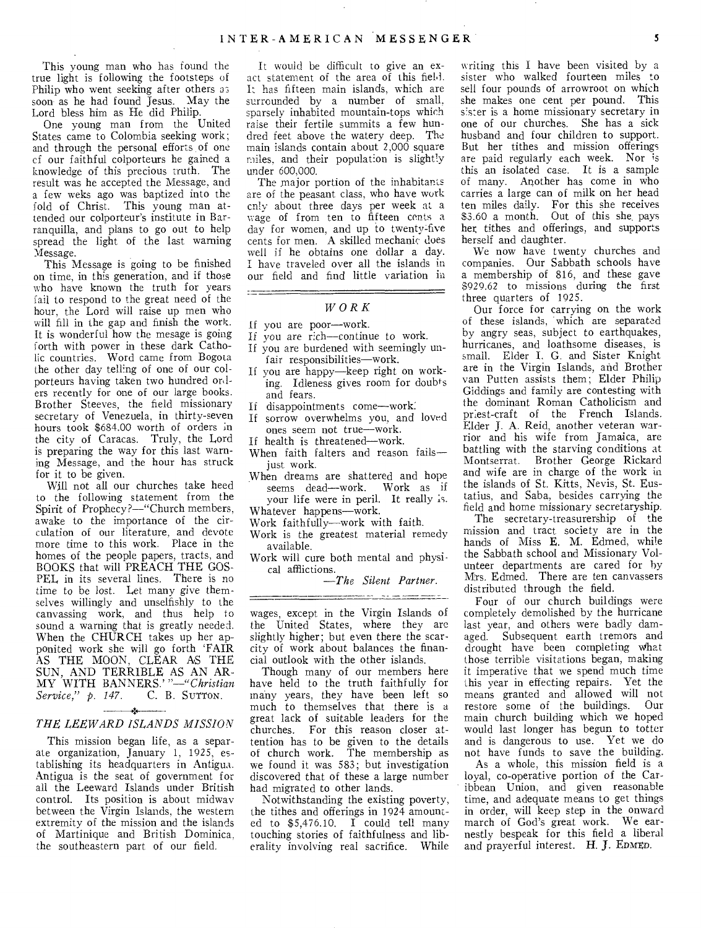This young man who has found the true light is following the footsteps of Philip who went seeking after others as soon as he had found Jesus. May the Lord bless him as He did Philip.

One young man from the United States came to Colombia seeking work; and through the personal efforts of one of our faithful colporteurs he gained a knowledge of this precious truth. The result was he accepted the Message, and a few weks ago was baptized into the fold of Christ. This young man attended our colporteur's institute in Barranquilla, and plans to go out to help spread the light of the last warning Message.

This Message is going to be finished on time, in this generation, and if those who have known the truth for years fail to respond to the great need of the hour, the Lord will raise up men who will fill in the gap and finish the work. It is wonderful how the mesage is going forth with power in these dark Catholic countries. Word came from Bogota the other day telling of one of our colporteurs having taken two hundred orders recently for one of our large books. Brother Steeves, the field missionary secretary of Venezuela, in thirty-seven hours took \$684.00 worth of orders in the city of Caracas. Truly, the Lord is preparing the way for this last warning Message, and the hour has struck for it to be given.

Will not all our churches take heed to the following statement from the Spirit of Prophecy?—"Church members, awake to the importance of the circulation of our literature, and devote more time to this work. Place in the homes of the people papers, tracts, and BOOKS that will PREACH THE GOS-PEL in its several lines. There is no time to be lost. Let many give themselves willingly and unselfishly to the canvassing work, and thus help to sound a warning that is greatly needed. When the CHURCH takes up her apponited work she will go forth 'FAIR AS THE MOON, CLEAR AS THE SUN, AND TERRIBLE AS AN AR-MY WITH BANNERS.'*"—"Christian Service," p. 147.* C. B. SUTTON.

### *THE LEEWARD ISLANDS MISSION*

This mission began life, as a separate organization, January 1, 1925, establishing its headquarters in Antigua. Antigua is the seat of government for all the Leeward Islands under British control. Its position is about midway between the Virgin Islands, the western extremity of the mission and the islands of Martinique and British Dominica. the southeastern part of our field.

It would be difficult to give an exact statement of the area of this field. It has fifteen main islands, which are surrounded by a number of small, sparsely inhabited mountain-tops which raise their fertile summits a few hundred feet above the watery deep. The main islands contain about 2,000 square miles, and their population is slightly under 600,000.

The major portion of the inhabitants are of the peasant class, who have work cnly about three days per week at a wage of from ten to fifteen cents a day for women, and up to twenty five cents for men. A skilled mechanic does well if he obtains one dollar a day. I have traveled over all the islands in our field and find little variation in

### *WORK*

### If you are poor—work.

- If you are rich—continue to work.
- If you are burdened with seemingly un-
- fair responsibilities—work.
- If you are happy—keep right on working. Idleness gives room for doubts and fears.
- If disappointments come—work:
- If sorrow overwhelms you, and loved ones seem not true—work.
- If health is threatened—work. When faith falters and reason fails—
- just work.
- When dreams are shattered and hope seems dead—work. Work as if your life were in peril. It really is. Whatever happens—work.
- Work faithfully—work with faith.
- Work is the greatest material remedy available.
- Work will cure both mental and physical afflictions.

*—The Silent Partner.* 

wages, except in the Virgin Islands of the United States, where they are slightly higher; but even there the scarcity of work about balances the financial outlook with the other islands.

Though many of our members here have held to the truth faithfully for many years, they have been left so much to themselves that there is a great lack of suitable leaders for the churches. For this reason closer attention has to be given to the details of church work. The membership as we found it was 583; but investigation discovered that of these a large number had migrated to other lands.

Notwithstanding the existing poverty, the tithes and offerings in 1924 amounted to  $$5,476.10$ . I could tell many touching stories of faithfulness and liberality involving real sacrifice. While

writing this I have been visited by a sister who walked fourteen miles to sell four pounds of arrowroot on which she makes one cent per pound. This s'ster is a home missionary secretary in one of our churches. She has a sick husband and four children to support. But her tithes and mission offerings are paid regularly each week. Nor is this an isolated case. It is a sample of many. Another has come in who carries a large can of milk on her head ten miles daily. For this she receives 83.60 a month. Out of this she, pays hex tithes and offerings, and supports herself and daughter.

We now have twenty churches and companies. Our Sabbath schools have a membership of 816, and these gave \$929.62 to missions during the first three quarters of 1925.

Our force for carrying on the work of these islands, which are separated by angry seas, subject to earthquakes, hurricanes, and loathsome diseases, is small. Elder I. G. and Sister Knight are in the Virgin Islands, and Brother van Putten assists them; Elder Philip Giddings and family are contesting with the dominant Roman Catholicism and priest-craft of the French Islands. Elder J. A. Reid, another veteran warrior and his wife from Jamaica, are battling with the starving conditions at Montserrat. Brother George Rickard and wife are in charge of the work in the islands of St. Kitts, Nevis, St. Eustatius, and Saba, besides carrying the field and home missionary secretaryship.

The secretary-treasurership of the mission and tract society are in the hands of Miss E. M. Edmed, while the Sabbath school and Missionary Volunteer departments are cared for by Mrs. Edmed. There are ten canvassers distributed through the field.

Four of our church buildings were completely demolished by the hurricane last year, and others were badly damaged. Subsequent earth tremors and drought have been completing what those terrible visitations began, making it imperative that we spend much time this year in effecting repairs. Yet the means granted and allowed will not restore some of the buildings. Our main church building which we hoped would last longer has begun to totter and is dangerous to use. Yet we do not have funds to save the building.

As a whole, this mission field is a loyal, co-operative portion of the Caribbean Union, and given reasonable time, and adequate means to get things in order, will keep step in the onward march of God's great work. We earnestly bespeak for this field a liberal and prayerful interest. H. J. EDMED.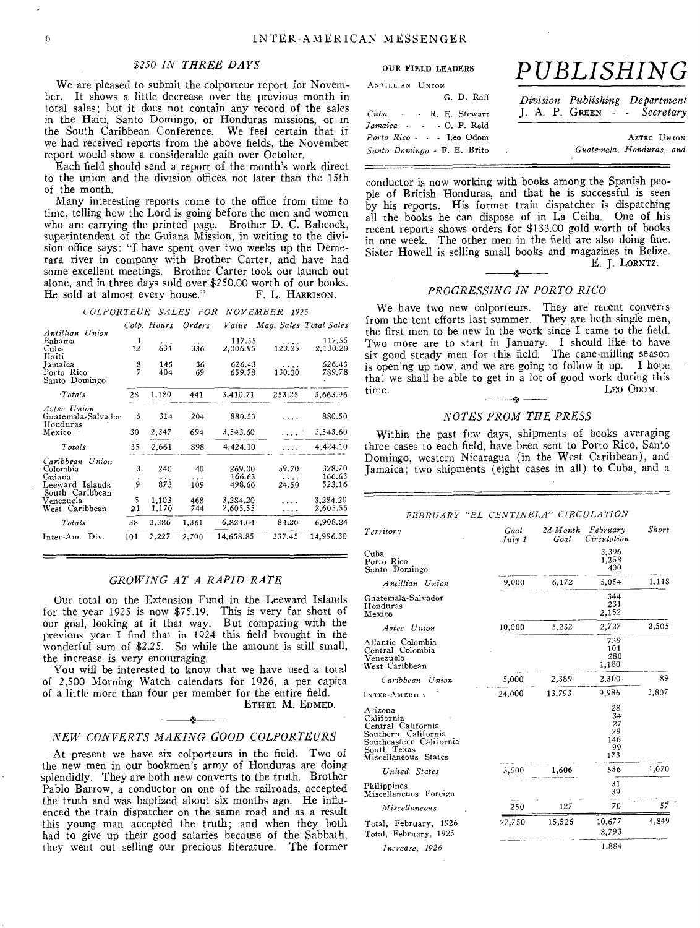### *\$250 IN THREE DAYS*

We are pleased to submit the colporteur report for November. It shows a little decrease over the previous month in total sales; but it does not contain any record of the sales in the Haiti, Santo Domingo, or Honduras missions, or in the South Caribbean Conference. We feel certain that if we had received reports from the above fields, the November report would show a considerable gain over October.

Each field should send a report of the month's work direct to the union and the division offices not later than the 15th of the month.

Many interesting reports come to the office from time to time, telling how the Lord is going before the men and women who are carrying the printed page. Brother D. C. Babcock, superintendent of the Guiana Mission, in writing to the division office says: "I have spent over two weeks up the Demerara river in company with Brother Carter, and have had some excellent meetings. Brother Carter took our launch out alone, and in three days sold over \$250.00 worth of our books.<br>He sold at almost every house." F. L. HARRISON. He sold at almost every house."

### *COLPORTEUR SALES FOR NOVEMBER 1925*

|                                                          |                | Colp. Hours     | Orders                | Value                      |                            | Mag. Sales Total Sales     |
|----------------------------------------------------------|----------------|-----------------|-----------------------|----------------------------|----------------------------|----------------------------|
| Antillian Union<br>Bahama<br>Cuba<br>Haiti               | 1<br>$12^{12}$ | $\cdots$<br>631 | $\cdots$<br>336       | 117.55<br>2,006.95         | .<br>123.25                | 117.55<br>2.130.20         |
| Jamaica<br>Porto Rico<br>Santo Domingo                   | $\frac{8}{7}$  | 145<br>404      | 36<br>69              | 626.43<br>659.78           | <br>130.00                 | 626.43<br>789.78           |
| Tctals                                                   | 28             | 1,180           | 441                   | 3,410.71                   | 253.25                     | 3,663.96                   |
| Aztec Union<br>Guatemala-Salvador<br>Honduras            | 5              | 314             | 204                   | 880.50                     |                            | 880.50                     |
| Mexico                                                   | 30             | 2,347           | 694                   | 3,543.60                   |                            | 3,543.60                   |
| Totals                                                   | 35             | 2.661           | 898                   | 4,424.10                   |                            | 4,424.10                   |
| Caribbean Union<br>Colombia<br>Guiana<br>Leeward Islands | 3<br>. .<br>9  | 240<br>.<br>873 | 40<br>$\cdots$<br>109 | 269.00<br>166.63<br>498.66 | 59.70<br>$\cdots$<br>24.50 | 328.70<br>166.63<br>523.16 |
| South Caribbean<br>Venezuela<br>West Caribbean           | 5<br>21        | 1,103<br>1,170  | 468<br>744            | 3,284.20<br>2.605.55       | $\cdot$<br>.               | 3,284.20<br>2,605.55       |
| Totals                                                   | 38             | 3,386           | 1,361                 | 6,824.04                   | 84.20                      | 6,908.24                   |
| Inter-Am. Div.                                           | 101            | 7,227           | 2.700                 | 14,658.85                  | 337.45                     | 14,996.30                  |

### *GROWING AT A RAPID RATE*

Our total on the Extension Fund in the Leeward Islands for the year 1925 is now \$75.19. This is very far short of our goal, looking at it that way. But comparing with the previous year I find that in 1924 this field brought in the wonderful sum of \$2.25. So while the amount is still small, the increase is very encouraging.

You will be interested to know that we have used a total of 2,500 Morning Watch calendars for 1926, a per capita of a little more than four per member for the entire field. ETHEL M. EDMED.

### *NEW CONVERTS MAKING GOOD COLPORTEURS*

At present we have six colporteurs in the field. Two of the new men in our bookmen's army of Honduras are doing splendidly. They are both new converts to the truth. Brother Pablo Barrow, a conductor on one of the railroads, accepted the truth and was- baptized about six months ago. He influenced the train dispatcher on the same road and as a result this young man accepted the truth; and when they both had to give up their good salaries because of the Sabbath, they went out selling our precious literature. The former

## OUR FIELD LEADERS *PUBLISHING*

| ANTILLIAN UNION             |                                |
|-----------------------------|--------------------------------|
| G. D. Raff                  | Division Publishing Department |
| $Cuba$ - R. E. Stewart      | J. A. P. GREEN - Secretary     |
| Jamaica · · · O. P. Reid    |                                |
| Porto Rico - - - Leo Odom   | AZTEC UNION                    |
| Santo Domingo - F. E. Brito | Guatemala, Honduras, and       |

conductor is now working with books among the Spanish people of British Honduras, and that he is successful is seen by his reports. His former train dispatcher is dispatching all the books he can dispose of in La Ceiba. One of his recent reports shows orders for \$133.00 gold worth of books in one week. The other men in the field are also doing fine. Sister Howell is selling small books and magazines in Belize. E. J. LORNTZ.

### *PROGRESSING IN PORTO RICO*

We have two new colporteurs. They are recent convers from the tent efforts last summer. They are both single men, the first men to be new in the work since I came to the field. Two more are to start in January. I should like to have six good steady men for this field. The cane-milling season is open'ng up now, and we are going to follow it up. I hope that we shall be able to get in a lot of good work during this<br> *LEO* ODOM.<br> *ACTER EDOM CULLER PROS* time. LEO ODOM.

### *NOTES FROM THE PRESS*

Within the past few days, shipments of books averaging three cases to each field, have been sent to Porto Rico, Santo Domingo, western Nicaragua (in the West Caribbean), and Jamaica; two shipments (eight cases in all) to Cuba, and a

### *FEBRUARY "EL CENTINELA" CIRCULATION*

| Territory                                                                                                                            | Goal<br>$J$ ul $\nu$ 1 | 2d Month<br>Goal | February<br>Circulation                  | Short |
|--------------------------------------------------------------------------------------------------------------------------------------|------------------------|------------------|------------------------------------------|-------|
| Cuba<br>Porto Rico<br>Santo Domingo                                                                                                  |                        |                  | 3,396<br>1,258<br>400                    |       |
| Antillian Union                                                                                                                      | 9,000                  | 6,172            | 5,054                                    | 1,118 |
| Guatemala-Salvador<br>Honduras<br>Mexico                                                                                             |                        |                  | 344<br>231<br>2,152                      |       |
| Aztec Union                                                                                                                          | 10.000                 | 5,232            | 2,727                                    | 2,505 |
| Atlantic Colombia<br>Central Colombia<br>Venezuela<br>West Caribbean                                                                 |                        |                  | 739<br>101<br>280<br>1,180               |       |
| Caribbean Union                                                                                                                      | 5,000                  | 2,389            | $2,300 -$                                | 89    |
| INTER-AMÉRICA                                                                                                                        | 24.000                 | 13.793           | 9.986                                    | 3,807 |
| Arizona<br>California<br>Central California<br>Southern California<br>Southeastern California<br>South Texas<br>Miscellaneous States |                        |                  | 28<br>34<br>27<br>29<br>146<br>99<br>173 |       |
| United States                                                                                                                        | 3,500                  | 1,606            | 536                                      | 1,070 |
| Philippines<br>Miscellaneuos Foreign                                                                                                 |                        |                  | 31<br>39                                 |       |
| Miscellaneous                                                                                                                        | 250                    | 127              | 70                                       | 57    |
| Total, February, 1926<br>Total, February, 1925                                                                                       | 27,750                 | 15,526           | 10,677<br>8.793                          | 4,849 |
| Increase, 1926                                                                                                                       |                        |                  | 1,884                                    |       |

-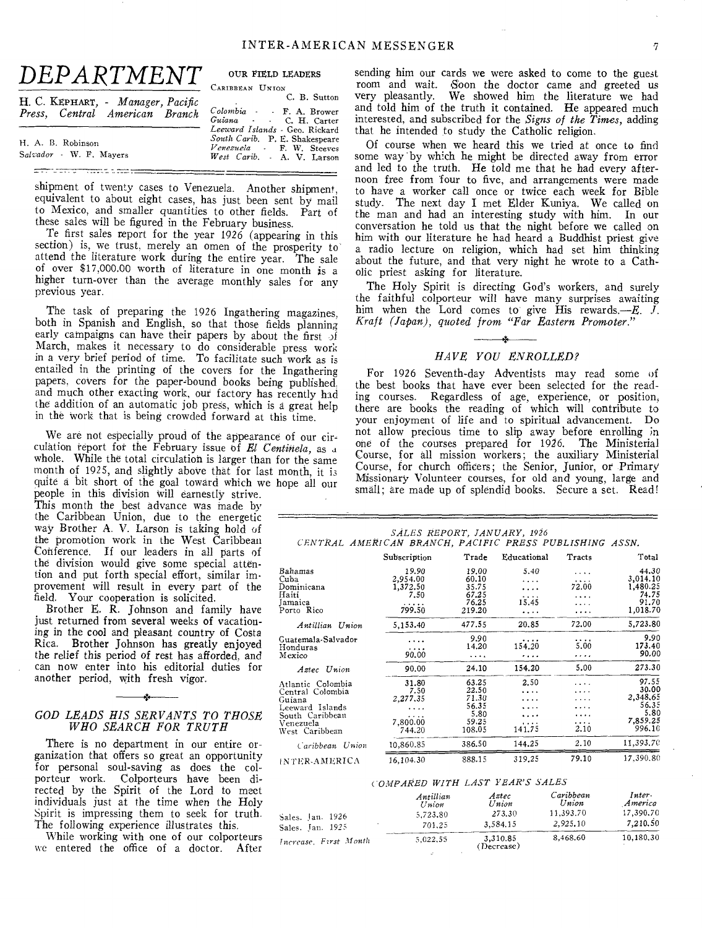| DEPARTMENT                                                          | OUR FIELD LEADERS<br>CARIBBEAN UNION                                                                                        |
|---------------------------------------------------------------------|-----------------------------------------------------------------------------------------------------------------------------|
| H. C. KEPHART, - Manager, Pacific<br>Press, Central American Branch | C. B. Sutton<br>Colombia - F. A. Brower<br>Guiana . C. H. Carter                                                            |
| H. A. B. Robinson<br>Salvador - W. F. Mavers                        | Leeward Islands - Geo. Rickard<br>South Carib. P. E. Shakespeare<br>Venezuela - F. W. Steeves<br>West Carib. - A. V. Larson |

shipment of twenty cases to Venezuela. Another shipment, equivalent to about eight cases, has just been sent by mail to Mexico, and smaller quantities to other fields. Part of these sales will be figured in the February business.

Te first sales report for the year 1926 (appearing in this section) is, we trust, merely an omen of the prosperity to attend the literature work during the entire year. The sale of over \$17,000.00 worth of literature in one month is a higher turn-over than the average monthly sales for any previous year.

The task of preparing the 1926 Ingathering magazines, both in Spanish and English, so that those fields planning early campaigns can have their papers by about the first of March, makes it necessary to do considerable press work in a very brief period of time. To facilitate such work as is entailed in the printing of the covers for the Ingathering papers. covers for the paper-bound books being published. and much other exacting work, our factory has recently had the addition of an automatic job press, which is a great help in the work that is being crowded forward at this time.

We are not especially proud of the appearance of our circulation report for the February issue of *El Centinela,* as .1 whole. While the total circulation is larger than for the same month of 1925, and slightly above that for last month, it i3 quite a bit short of the goal toward which we hope all our

people in this division Will earnestly strive. This month the best advance was made by the Caribbean Union, due to the energetic way Brother A. V. Larson is taking hold of the promotion work in the West Caribbean Conference. If our leaders in all parts of the division would give some special attention and put forth special effort, similar improvement will result in every part of the field. Your cooperation is solicited.

Brother E. R. Johnson and family have just returned from several weeks of vacationing in the cool and pleasant country of Costa Rica. Brother Johnson has greatly enjoyed the relief this period of rest has afforded, and can now enter into his editorial duties for another period, with fresh vigor.

### A. *GOD LEADS HIS SERVANTS TO THOSE WHO SEARCH FOR TRUTH*

There is no department in our entire organization that offers so great an opportunity for personal soul-saving as does the colporteur work. Colporteurs have been directed by the Spirit of the Lord to meet individuals just at the time when the Holy Spirit is impressing them to seek for truth. The following experience illustrates this.

While working with one of our colporteurs we entered the office of a doctor. After

sending him our cards we were asked to come to the guest room and wait. Soon the doctor came and greeted us very pleasantly. We showed him the literature we had We showed him the literature we had and told him of the truth it contained. He appeared much interested, and subscribed for the *Signs of the Times,* adding that he intended to study the Catholic religion.

Of course when we heard this we tried at once to find some way by which he might be directed away from error and led to the truth. He told me that he had every afternoon free from four to five, and arrangements were made to have a worker call once or twice each week for Bible study. The next day I met Elder Kuniya. We called on the man and had an interesting study with him. In our conversation he told us that the night before we called on him with our literature he had heard a Buddhist priest give a radio lecture on religion, which had set him thinking about the future, and that very night he wrote to a Catholic priest asking for literature.

The Holy Spirit is directing God's workers, and surely the faithful colporteur will have many surprises awaiting him when the Lord comes to give His rewards. $-E$ .  $\tilde{J}$ . *Kraft (Japan), quoted from "Far Eastern Promoter.*"

### *HAVE YOU ENROLLED?*

For 1926 Seventh-day Adventists may read some of the best books that have ever been selected for the reading courses. Regardless of age, experience, or position, there are books the reading of which will contribute to your enjoyment of life and to spiritual advancement. Do not allow precious time to slip away before enrolling in one of the courses prepared for 1926. The Ministerial Course, for all mission workers; the auxiliary Ministerial Course, for church officers; the Senior, Junior, or Primary Missionary Volunteer courses, for old and young, large and small; are made up of splendid books. Secure a set. Read!

| CENTRAL AMERICAN BRANCH, PACIFIC PRESS PUBLISHING ASSN.                                                              | SALES REPORT, JANUARY, 1926                          |                                                                       |                                               |                                       |                                                                                |
|----------------------------------------------------------------------------------------------------------------------|------------------------------------------------------|-----------------------------------------------------------------------|-----------------------------------------------|---------------------------------------|--------------------------------------------------------------------------------|
|                                                                                                                      | Subscription                                         | Trade                                                                 | Educational                                   | Tracts                                | Total                                                                          |
| <b>Bahamas</b><br>Cuba<br>Dominicana<br>Haiti<br>Jamaica<br>Porto Rico                                               | 19.90<br>2,954.00<br>1,372.50<br>7.50<br>.<br>799.50 | 19.00<br>60.10<br>35.75<br>67.25<br>76.25<br>219.20                   | 5.40<br>.<br>.<br>15.45<br>$\cdots$           | .<br>$\cdots$<br>72.00<br>.<br>.<br>. | 44.30<br>3,014.10<br>1,480.25<br>74.75<br>91.70<br>1,018.70                    |
| Antillian Union                                                                                                      | 5,153.40                                             | 477.55                                                                | 20.85                                         | 72.00                                 | 5,723.80                                                                       |
| Guatemala-Salvador<br>Honduras<br>Mexico                                                                             | <br>90.00                                            | 9.90<br>14.20<br>.                                                    | .<br>154.20<br>.                              | .<br>5.00<br>.                        | 9.90<br>173.40<br>90.00                                                        |
| Aztec Union                                                                                                          | 90.00                                                | 24.10                                                                 | 154.20                                        | 5.00                                  | 273.30                                                                         |
| Atlantic Colombia<br>Central Colombia<br>Guiana<br>Leeward Islands<br>South Caribbean<br>Venezuela<br>West Caribbean | 31.80<br>7.50<br>2,277,35<br>.<br>7.800.00<br>744.20 | 63.25<br>22.50<br>71.30<br>56.35<br>5.80<br>59.25<br>108.05<br>386.50 | 2.50<br>.<br>$\cdots$<br><br>141.75<br>144.25 | .<br>.<br>.<br>.<br>2.10<br>2.10      | 97.55<br>30.00<br>2,348,65<br>56.35<br>5.80<br>7,859.25<br>996.10<br>11,393.70 |
| Caribbean Union                                                                                                      | 10,860.85                                            | 888.15                                                                | 319.25                                        | 79.10                                 | 17,390.80                                                                      |
| INTER-AMERICA                                                                                                        | 16,104.30                                            |                                                                       |                                               |                                       |                                                                                |

### *COMPARED WITH LAST YEAR'S SALES*

|                       | Antillian | Aztec                  | Caribbean | Inter-    |
|-----------------------|-----------|------------------------|-----------|-----------|
|                       | $U$ nion  | Union                  | Union     | America   |
| Sales. Ian. 1926      | 5.723.80  | 273.30                 | 11,393.70 | 17,390,70 |
| Sales, Jan. 1925      | 701.25    | 3,584,15               | 2.925.10  | 7,210,50  |
| Increase, First Month | 5.022.55  | 3.310.85<br>(Decrease) | 8.468.60  | 10,180,30 |